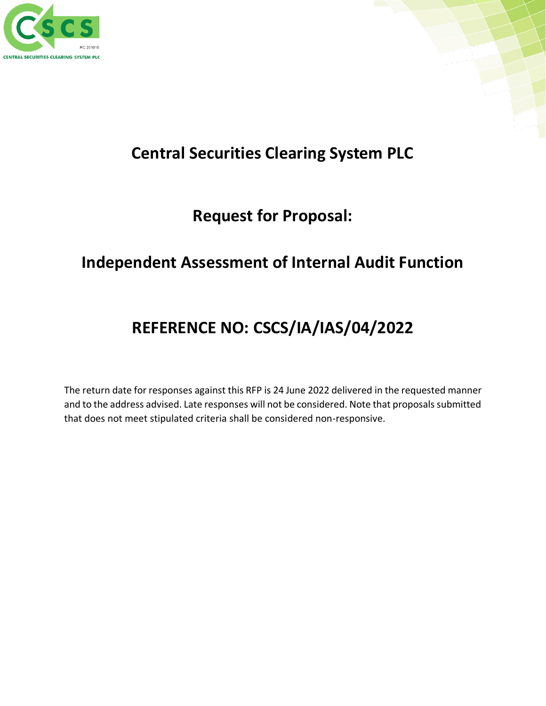



# **Request for Proposal:**

# **Independent Assessment of Internal Audit Function**

# **REFERENCE NO: CSCS/IA/IAS/04/2022**

The return date for responses against this RFP is 24 June 2022 delivered in the requested manner and to the address advised. Late responses will not be considered. Note that proposals submitted that does not meet stipulated criteria shall be considered non-responsive.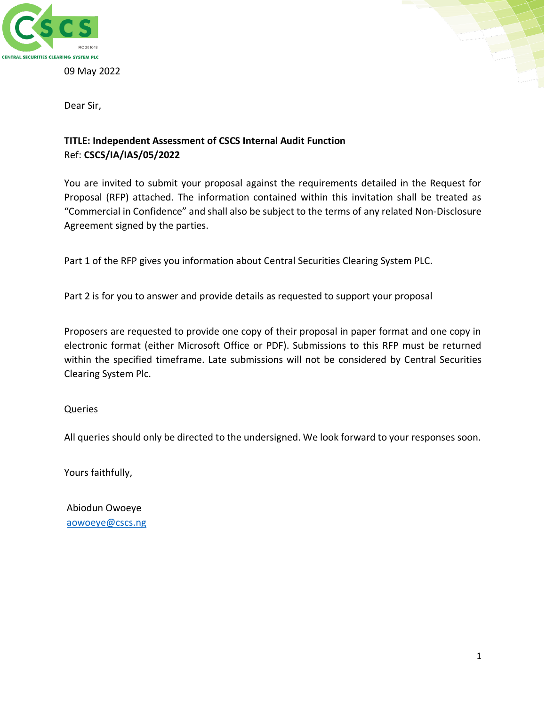

09 May 2022



Dear Sir,

## **TITLE: Independent Assessment of CSCS Internal Audit Function** Ref: **CSCS/IA/IAS/05/2022**

You are invited to submit your proposal against the requirements detailed in the Request for Proposal (RFP) attached. The information contained within this invitation shall be treated as "Commercial in Confidence" and shall also be subject to the terms of any related Non-Disclosure Agreement signed by the parties.

Part 1 of the RFP gives you information about Central Securities Clearing System PLC.

Part 2 is for you to answer and provide details as requested to support your proposal

Proposers are requested to provide one copy of their proposal in paper format and one copy in electronic format (either Microsoft Office or PDF). Submissions to this RFP must be returned within the specified timeframe. Late submissions will not be considered by Central Securities Clearing System Plc.

### Queries

All queries should only be directed to the undersigned. We look forward to your responses soon.

Yours faithfully,

Abiodun Owoeye [aowoeye@cscs.ng](mailto:aowoeye@cscs.ng)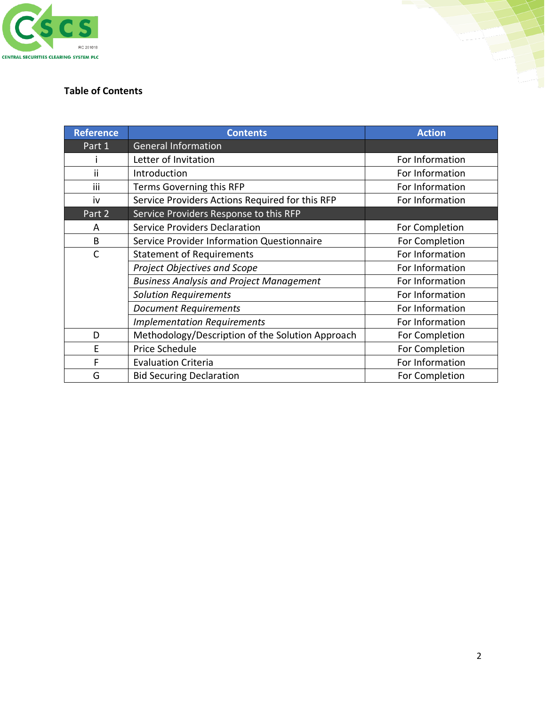

# **Table of Contents**

| <b>Reference</b> | <b>Contents</b>                                              | <b>Action</b>   |  |  |
|------------------|--------------------------------------------------------------|-----------------|--|--|
| Part 1           | <b>General Information</b>                                   |                 |  |  |
|                  | Letter of Invitation                                         | For Information |  |  |
| ii               | Introduction                                                 | For Information |  |  |
| iii              | Terms Governing this RFP                                     | For Information |  |  |
| iv               | Service Providers Actions Required for this RFP              | For Information |  |  |
| Part 2           | Service Providers Response to this RFP                       |                 |  |  |
| A                | <b>Service Providers Declaration</b>                         | For Completion  |  |  |
| B                | Service Provider Information Questionnaire<br>For Completion |                 |  |  |
| $\mathsf{C}$     | <b>Statement of Requirements</b>                             | For Information |  |  |
|                  | Project Objectives and Scope                                 | For Information |  |  |
|                  | <b>Business Analysis and Project Management</b>              | For Information |  |  |
|                  | <b>Solution Requirements</b>                                 | For Information |  |  |
|                  | <b>Document Requirements</b>                                 | For Information |  |  |
|                  | <b>Implementation Requirements</b>                           | For Information |  |  |
| D                | Methodology/Description of the Solution Approach             | For Completion  |  |  |
| E                | Price Schedule                                               | For Completion  |  |  |
| F                | <b>Evaluation Criteria</b>                                   | For Information |  |  |
| G                | <b>Bid Securing Declaration</b>                              | For Completion  |  |  |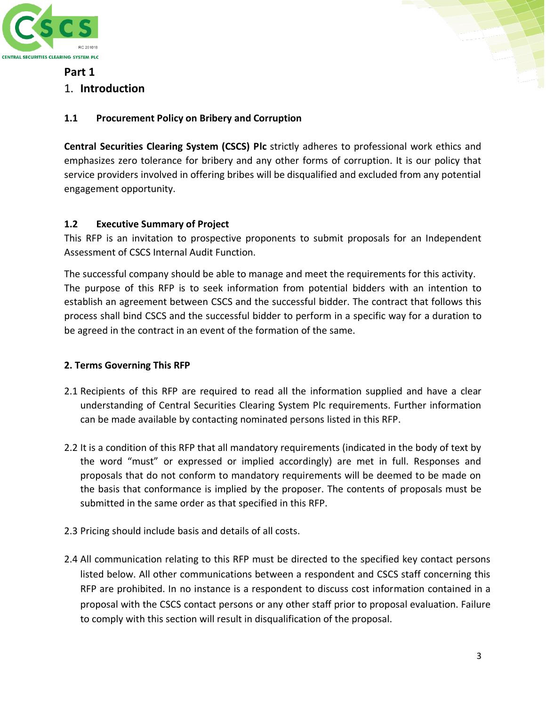



## **Part 1**

## 1. **Introduction**

## **1.1 Procurement Policy on Bribery and Corruption**

**Central Securities Clearing System (CSCS) Plc** strictly adheres to professional work ethics and emphasizes zero tolerance for bribery and any other forms of corruption. It is our policy that service providers involved in offering bribes will be disqualified and excluded from any potential engagement opportunity.

## **1.2 Executive Summary of Project**

This RFP is an invitation to prospective proponents to submit proposals for an Independent Assessment of CSCS Internal Audit Function.

The successful company should be able to manage and meet the requirements for this activity. The purpose of this RFP is to seek information from potential bidders with an intention to establish an agreement between CSCS and the successful bidder. The contract that follows this process shall bind CSCS and the successful bidder to perform in a specific way for a duration to be agreed in the contract in an event of the formation of the same.

## **2. Terms Governing This RFP**

- 2.1 Recipients of this RFP are required to read all the information supplied and have a clear understanding of Central Securities Clearing System Plc requirements. Further information can be made available by contacting nominated persons listed in this RFP.
- 2.2 It is a condition of this RFP that all mandatory requirements (indicated in the body of text by the word "must" or expressed or implied accordingly) are met in full. Responses and proposals that do not conform to mandatory requirements will be deemed to be made on the basis that conformance is implied by the proposer. The contents of proposals must be submitted in the same order as that specified in this RFP.
- 2.3 Pricing should include basis and details of all costs.
- 2.4 All communication relating to this RFP must be directed to the specified key contact persons listed below. All other communications between a respondent and CSCS staff concerning this RFP are prohibited. In no instance is a respondent to discuss cost information contained in a proposal with the CSCS contact persons or any other staff prior to proposal evaluation. Failure to comply with this section will result in disqualification of the proposal.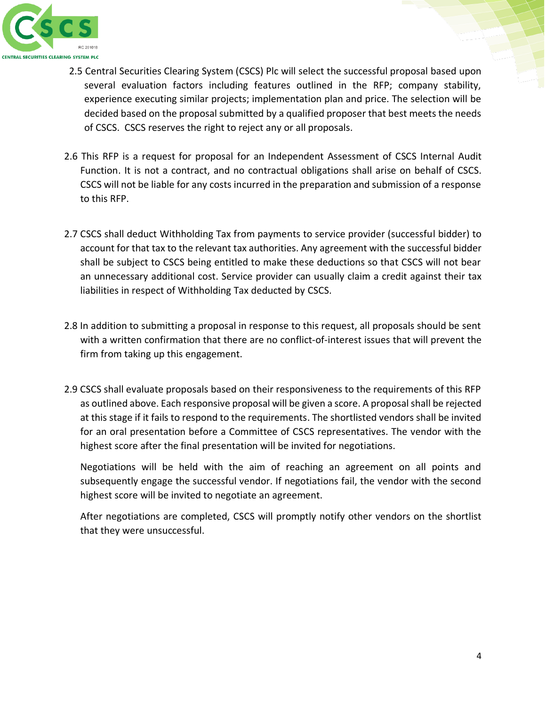

- 2.5 Central Securities Clearing System (CSCS) Plc will select the successful proposal based upon several evaluation factors including features outlined in the RFP; company stability, experience executing similar projects; implementation plan and price. The selection will be decided based on the proposal submitted by a qualified proposer that best meets the needs of CSCS. CSCS reserves the right to reject any or all proposals.
- 2.6 This RFP is a request for proposal for an Independent Assessment of CSCS Internal Audit Function. It is not a contract, and no contractual obligations shall arise on behalf of CSCS. CSCS will not be liable for any costs incurred in the preparation and submission of a response to this RFP.
- 2.7 CSCS shall deduct Withholding Tax from payments to service provider (successful bidder) to account for that tax to the relevant tax authorities. Any agreement with the successful bidder shall be subject to CSCS being entitled to make these deductions so that CSCS will not bear an unnecessary additional cost. Service provider can usually claim a credit against their tax liabilities in respect of Withholding Tax deducted by CSCS.
- 2.8 In addition to submitting a proposal in response to this request, all proposals should be sent with a written confirmation that there are no conflict-of-interest issues that will prevent the firm from taking up this engagement.
- 2.9 CSCS shall evaluate proposals based on their responsiveness to the requirements of this RFP as outlined above. Each responsive proposal will be given a score. A proposal shall be rejected at this stage if it fails to respond to the requirements. The shortlisted vendors shall be invited for an oral presentation before a Committee of CSCS representatives. The vendor with the highest score after the final presentation will be invited for negotiations.

Negotiations will be held with the aim of reaching an agreement on all points and subsequently engage the successful vendor. If negotiations fail, the vendor with the second highest score will be invited to negotiate an agreement.

After negotiations are completed, CSCS will promptly notify other vendors on the shortlist that they were unsuccessful.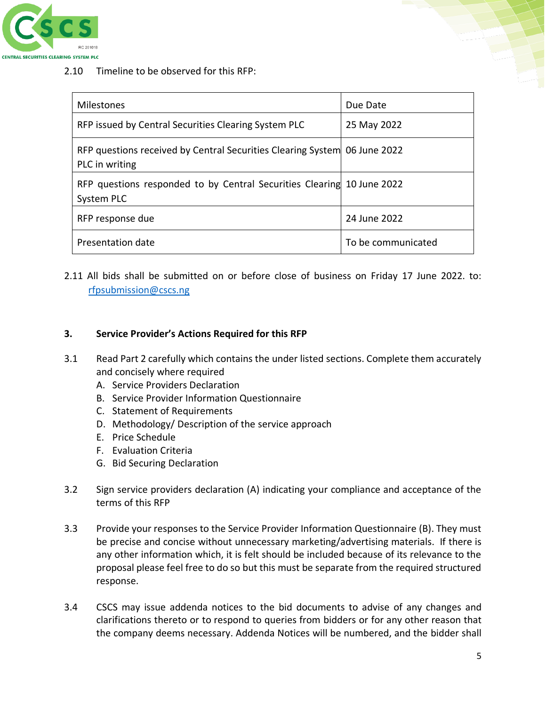

2.10 Timeline to be observed for this RFP:

| <b>Milestones</b>                                                                           | Due Date           |
|---------------------------------------------------------------------------------------------|--------------------|
| RFP issued by Central Securities Clearing System PLC                                        | 25 May 2022        |
| RFP questions received by Central Securities Clearing System 06 June 2022<br>PLC in writing |                    |
| RFP questions responded to by Central Securities Clearing 10 June 2022<br>System PLC        |                    |
| RFP response due                                                                            | 24 June 2022       |
| Presentation date                                                                           | To be communicated |

2.11 All bids shall be submitted on or before close of business on Friday 17 June 2022. to: [rfpsubmission@cscs.ng](mailto:rfpsubmission@cscs.ng)

#### **3. Service Provider's Actions Required for this RFP**

- 3.1 Read Part 2 carefully which contains the under listed sections. Complete them accurately and concisely where required
	- A. Service Providers Declaration
	- B. Service Provider Information Questionnaire
	- C. Statement of Requirements
	- D. Methodology/ Description of the service approach
	- E. Price Schedule
	- F. Evaluation Criteria
	- G. Bid Securing Declaration
- 3.2 Sign service providers declaration (A) indicating your compliance and acceptance of the terms of this RFP
- 3.3 Provide your responses to the Service Provider Information Questionnaire (B). They must be precise and concise without unnecessary marketing/advertising materials. If there is any other information which, it is felt should be included because of its relevance to the proposal please feel free to do so but this must be separate from the required structured response.
- 3.4 CSCS may issue addenda notices to the bid documents to advise of any changes and clarifications thereto or to respond to queries from bidders or for any other reason that the company deems necessary. Addenda Notices will be numbered, and the bidder shall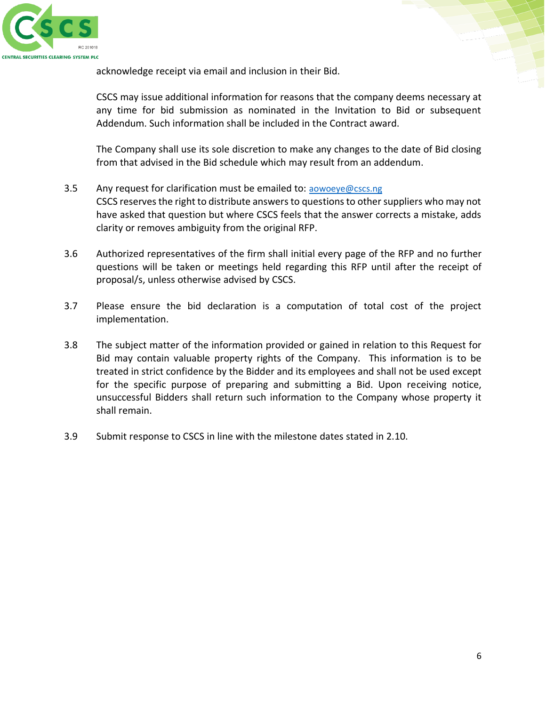

acknowledge receipt via email and inclusion in their Bid.

CSCS may issue additional information for reasons that the company deems necessary at any time for bid submission as nominated in the Invitation to Bid or subsequent Addendum. Such information shall be included in the Contract award.

The Company shall use its sole discretion to make any changes to the date of Bid closing from that advised in the Bid schedule which may result from an addendum.

- 3.5 Any request for clarification must be emailed to: [aowoeye@cscs.ng](mailto:aowoeye@cscs.ng) CSCS reserves the right to distribute answers to questions to other suppliers who may not have asked that question but where CSCS feels that the answer corrects a mistake, adds clarity or removes ambiguity from the original RFP.
- 3.6 Authorized representatives of the firm shall initial every page of the RFP and no further questions will be taken or meetings held regarding this RFP until after the receipt of proposal/s, unless otherwise advised by CSCS.
- 3.7 Please ensure the bid declaration is a computation of total cost of the project implementation.
- 3.8 The subject matter of the information provided or gained in relation to this Request for Bid may contain valuable property rights of the Company. This information is to be treated in strict confidence by the Bidder and its employees and shall not be used except for the specific purpose of preparing and submitting a Bid. Upon receiving notice, unsuccessful Bidders shall return such information to the Company whose property it shall remain.
- 3.9 Submit response to CSCS in line with the milestone dates stated in 2.10.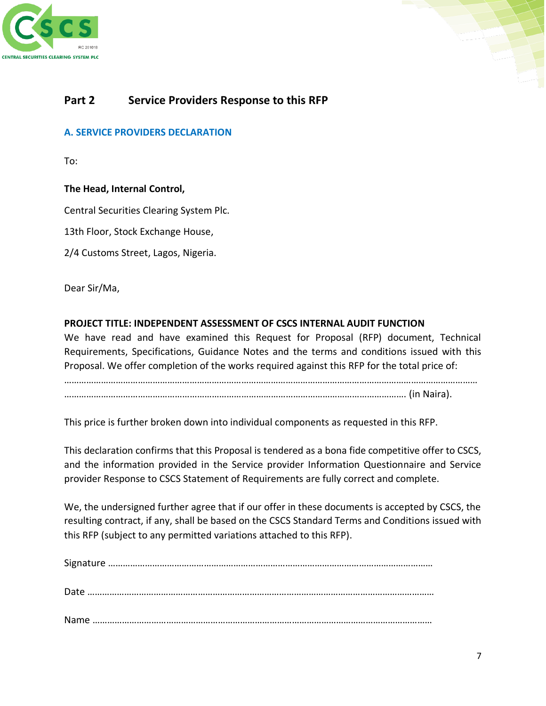



## **Part 2 Service Providers Response to this RFP**

#### **A. SERVICE PROVIDERS DECLARATION**

To:

#### **The Head, Internal Control,**

Central Securities Clearing System Plc.

13th Floor, Stock Exchange House,

2/4 Customs Street, Lagos, Nigeria.

Dear Sir/Ma,

#### **PROJECT TITLE: INDEPENDENT ASSESSMENT OF CSCS INTERNAL AUDIT FUNCTION**

We have read and have examined this Request for Proposal (RFP) document, Technical Requirements, Specifications, Guidance Notes and the terms and conditions issued with this Proposal. We offer completion of the works required against this RFP for the total price of:

…………………………………………………………………………………………………………………………………………………… …………………………………………………………………………………………………………………………. (in Naira).

This price is further broken down into individual components as requested in this RFP.

This declaration confirms that this Proposal is tendered as a bona fide competitive offer to CSCS, and the information provided in the Service provider Information Questionnaire and Service provider Response to CSCS Statement of Requirements are fully correct and complete.

We, the undersigned further agree that if our offer in these documents is accepted by CSCS, the resulting contract, if any, shall be based on the CSCS Standard Terms and Conditions issued with this RFP (subject to any permitted variations attached to this RFP).

Signature …………………………………………………………………………………………………………………… Date …………………………………………………………………………………………………………………………… Name …………………………………………………………………………………………………………………………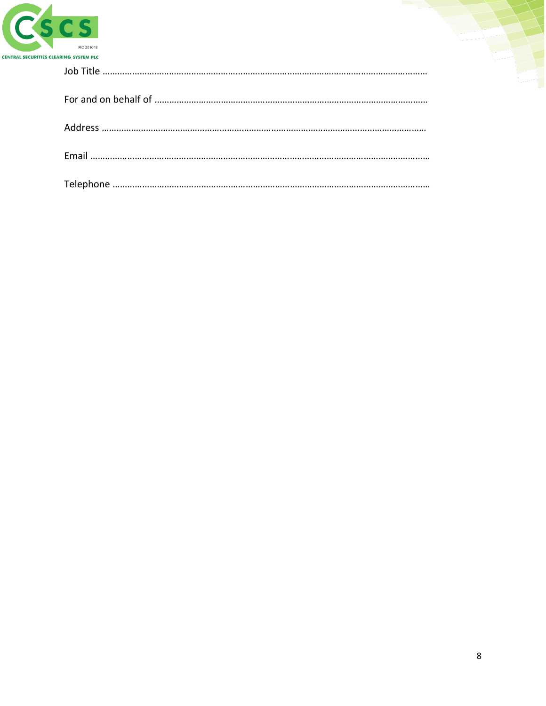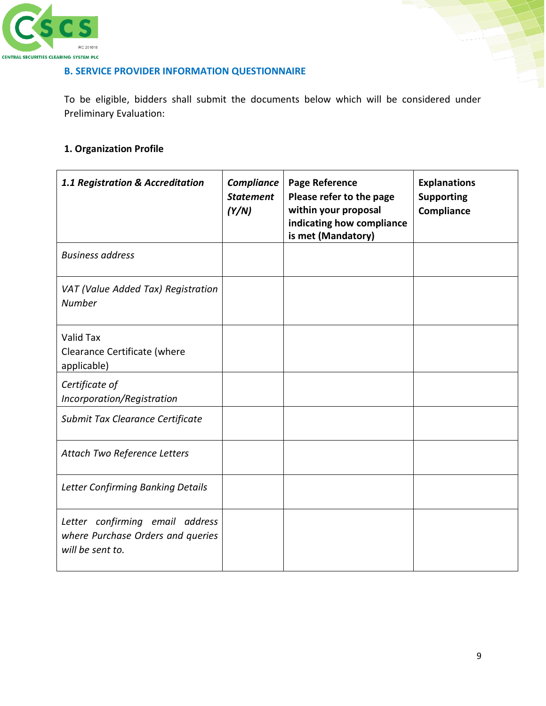

## **B. SERVICE PROVIDER INFORMATION QUESTIONNAIRE**

To be eligible, bidders shall submit the documents below which will be considered under Preliminary Evaluation:

## **1. Organization Profile**

| 1.1 Registration & Accreditation                                                         | Compliance<br><b>Statement</b><br>(Y/N) | <b>Page Reference</b><br>Please refer to the page<br>within your proposal<br>indicating how compliance<br>is met (Mandatory) | <b>Explanations</b><br><b>Supporting</b><br>Compliance |
|------------------------------------------------------------------------------------------|-----------------------------------------|------------------------------------------------------------------------------------------------------------------------------|--------------------------------------------------------|
| <b>Business address</b>                                                                  |                                         |                                                                                                                              |                                                        |
| VAT (Value Added Tax) Registration<br><b>Number</b>                                      |                                         |                                                                                                                              |                                                        |
| <b>Valid Tax</b><br>Clearance Certificate (where<br>applicable)                          |                                         |                                                                                                                              |                                                        |
| Certificate of<br>Incorporation/Registration                                             |                                         |                                                                                                                              |                                                        |
| Submit Tax Clearance Certificate                                                         |                                         |                                                                                                                              |                                                        |
| Attach Two Reference Letters                                                             |                                         |                                                                                                                              |                                                        |
| <b>Letter Confirming Banking Details</b>                                                 |                                         |                                                                                                                              |                                                        |
| Letter confirming email address<br>where Purchase Orders and queries<br>will be sent to. |                                         |                                                                                                                              |                                                        |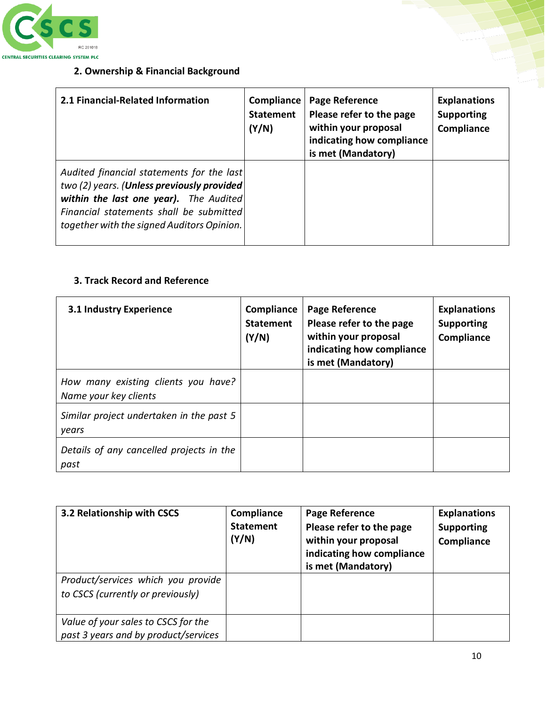

# **2. Ownership & Financial Background**

| RC 201018<br><b>ARING SYSTEM PLC</b>                                                                                                                                                                                       |                                                |                                                                                                                       |                                                        |
|----------------------------------------------------------------------------------------------------------------------------------------------------------------------------------------------------------------------------|------------------------------------------------|-----------------------------------------------------------------------------------------------------------------------|--------------------------------------------------------|
| 2. Ownership & Financial Background                                                                                                                                                                                        |                                                |                                                                                                                       |                                                        |
| 2.1 Financial-Related Information                                                                                                                                                                                          | <b>Compliance</b><br><b>Statement</b><br>(Y/N) | Page Reference<br>Please refer to the page<br>within your proposal<br>indicating how compliance<br>is met (Mandatory) | <b>Explanations</b><br><b>Supporting</b><br>Compliance |
| Audited financial statements for the last<br>two (2) years. (Unless previously provided<br>within the last one year). The Audited<br>Financial statements shall be submitted<br>together with the signed Auditors Opinion. |                                                |                                                                                                                       |                                                        |

## **3. Track Record and Reference**

| <b>3.1 Industry Experience</b>                               | Compliance<br><b>Statement</b><br>(Y/N) | Page Reference<br>Please refer to the page<br>within your proposal<br>indicating how compliance<br>is met (Mandatory) | <b>Explanations</b><br><b>Supporting</b><br>Compliance |
|--------------------------------------------------------------|-----------------------------------------|-----------------------------------------------------------------------------------------------------------------------|--------------------------------------------------------|
| How many existing clients you have?<br>Name your key clients |                                         |                                                                                                                       |                                                        |
| Similar project undertaken in the past 5<br>years            |                                         |                                                                                                                       |                                                        |
| Details of any cancelled projects in the<br>past             |                                         |                                                                                                                       |                                                        |

| 3.2 Relationship with CSCS                                                  | Compliance<br><b>Statement</b><br>(Y/N) | Page Reference<br>Please refer to the page<br>within your proposal<br>indicating how compliance<br>is met (Mandatory) | <b>Explanations</b><br><b>Supporting</b><br>Compliance |
|-----------------------------------------------------------------------------|-----------------------------------------|-----------------------------------------------------------------------------------------------------------------------|--------------------------------------------------------|
| Product/services which you provide<br>to CSCS (currently or previously)     |                                         |                                                                                                                       |                                                        |
| Value of your sales to CSCS for the<br>past 3 years and by product/services |                                         |                                                                                                                       |                                                        |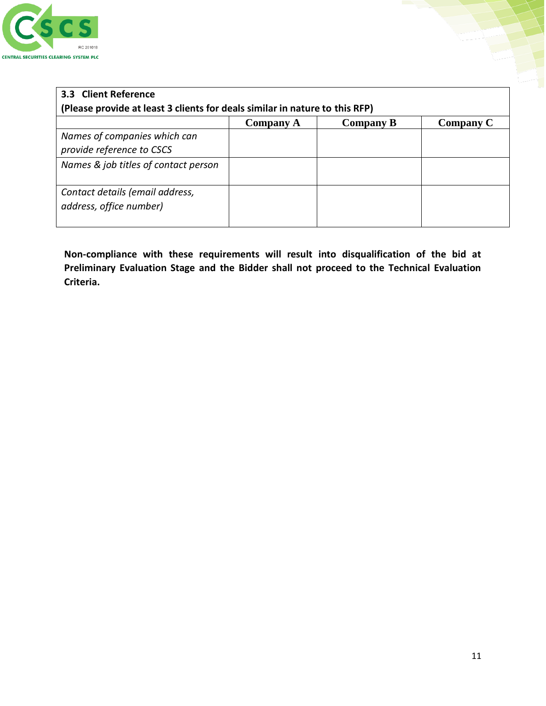

| 3.3 Client Reference                                                        |           |                  |           |  |
|-----------------------------------------------------------------------------|-----------|------------------|-----------|--|
| (Please provide at least 3 clients for deals similar in nature to this RFP) |           |                  |           |  |
|                                                                             | Company A | <b>Company B</b> | Company C |  |
| Names of companies which can                                                |           |                  |           |  |
| provide reference to CSCS                                                   |           |                  |           |  |
| Names & job titles of contact person                                        |           |                  |           |  |
|                                                                             |           |                  |           |  |
| Contact details (email address,                                             |           |                  |           |  |
| address, office number)                                                     |           |                  |           |  |
|                                                                             |           |                  |           |  |

**Non-compliance with these requirements will result into disqualification of the bid at Preliminary Evaluation Stage and the Bidder shall not proceed to the Technical Evaluation Criteria.**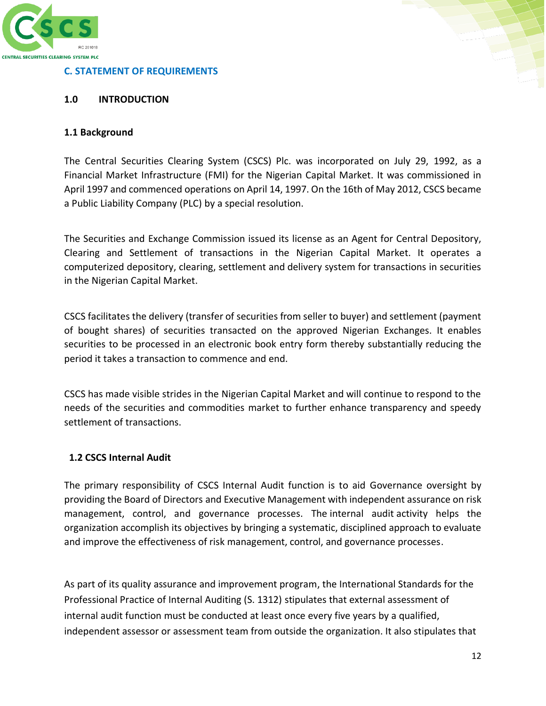

#### **C. STATEMENT OF REQUIREMENTS**

#### **1.0 INTRODUCTION**

#### **1.1 Background**

The Central Securities Clearing System (CSCS) Plc. was incorporated on July 29, 1992, as a Financial Market Infrastructure (FMI) for the Nigerian Capital Market. It was commissioned in April 1997 and commenced operations on April 14, 1997. On the 16th of May 2012, CSCS became a Public Liability Company (PLC) by a special resolution.

The Securities and Exchange Commission issued its license as an Agent for Central Depository, Clearing and Settlement of transactions in the Nigerian Capital Market. It operates a computerized depository, clearing, settlement and delivery system for transactions in securities in the Nigerian Capital Market.

CSCS facilitates the delivery (transfer of securities from seller to buyer) and settlement (payment of bought shares) of securities transacted on the approved Nigerian Exchanges. It enables securities to be processed in an electronic book entry form thereby substantially reducing the period it takes a transaction to commence and end.

CSCS has made visible strides in the Nigerian Capital Market and will continue to respond to the needs of the securities and commodities market to further enhance transparency and speedy settlement of transactions.

#### **1.2 CSCS Internal Audit**

The primary responsibility of CSCS Internal Audit function is to aid Governance oversight by providing the Board of Directors and Executive Management with independent assurance on risk management, control, and governance processes. The internal audit activity helps the organization accomplish its objectives by bringing a systematic, disciplined approach to evaluate and improve the effectiveness of risk management, control, and governance processes.

As part of its quality assurance and improvement program, the International Standards for the Professional Practice of Internal Auditing (S. 1312) stipulates that external assessment of internal audit function must be conducted at least once every five years by a qualified, independent assessor or assessment team from outside the organization. It also stipulates that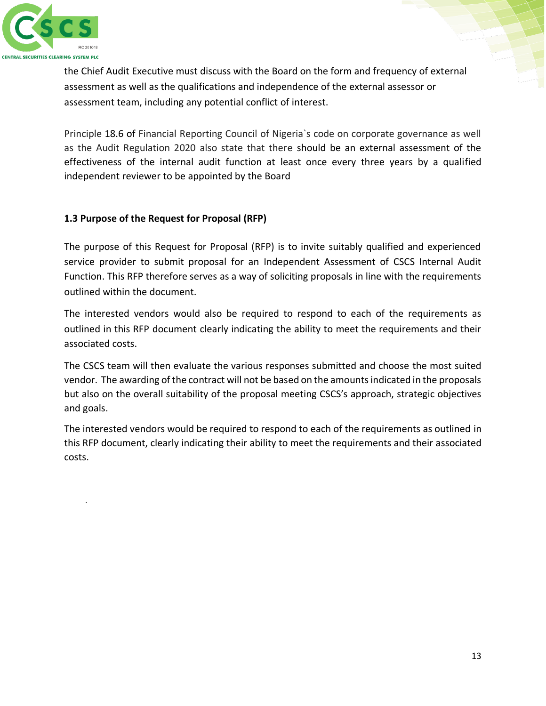

.

the Chief Audit Executive must discuss with the Board on the form and frequency of external assessment as well as the qualifications and independence of the external assessor or assessment team, including any potential conflict of interest.

Principle 18.6 of Financial Reporting Council of Nigeria`s code on corporate governance as well as the Audit Regulation 2020 also state that there should be an external assessment of the effectiveness of the internal audit function at least once every three years by a qualified independent reviewer to be appointed by the Board

## **1.3 Purpose of the Request for Proposal (RFP)**

The purpose of this Request for Proposal (RFP) is to invite suitably qualified and experienced service provider to submit proposal for an Independent Assessment of CSCS Internal Audit Function. This RFP therefore serves as a way of soliciting proposals in line with the requirements outlined within the document.

The interested vendors would also be required to respond to each of the requirements as outlined in this RFP document clearly indicating the ability to meet the requirements and their associated costs.

The CSCS team will then evaluate the various responses submitted and choose the most suited vendor. The awarding of the contract will not be based on the amounts indicated in the proposals but also on the overall suitability of the proposal meeting CSCS's approach, strategic objectives and goals.

The interested vendors would be required to respond to each of the requirements as outlined in this RFP document, clearly indicating their ability to meet the requirements and their associated costs.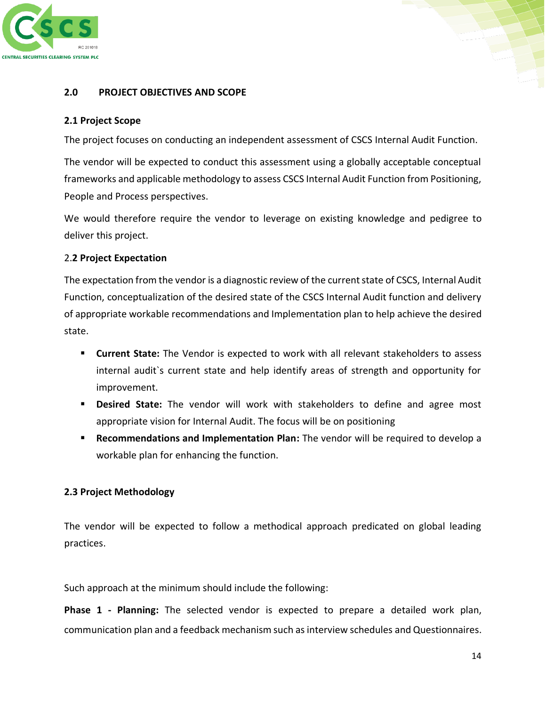

#### **2.0 PROJECT OBJECTIVES AND SCOPE**

#### **2.1 Project Scope**

The project focuses on conducting an independent assessment of CSCS Internal Audit Function.

The vendor will be expected to conduct this assessment using a globally acceptable conceptual frameworks and applicable methodology to assess CSCS Internal Audit Function from Positioning, People and Process perspectives.

We would therefore require the vendor to leverage on existing knowledge and pedigree to deliver this project.

#### 2.**2 Project Expectation**

The expectation from the vendor is a diagnostic review of the current state of CSCS, Internal Audit Function, conceptualization of the desired state of the CSCS Internal Audit function and delivery of appropriate workable recommendations and Implementation plan to help achieve the desired state.

- **EXECUTE:** Current State: The Vendor is expected to work with all relevant stakeholders to assess internal audit`s current state and help identify areas of strength and opportunity for improvement.
- **E Desired State:** The vendor will work with stakeholders to define and agree most appropriate vision for Internal Audit. The focus will be on positioning
- **E** Recommendations and Implementation Plan: The vendor will be required to develop a workable plan for enhancing the function.

#### **2.3 Project Methodology**

The vendor will be expected to follow a methodical approach predicated on global leading practices.

Such approach at the minimum should include the following:

**Phase 1 - Planning:** The selected vendor is expected to prepare a detailed work plan, communication plan and a feedback mechanism such as interview schedules and Questionnaires.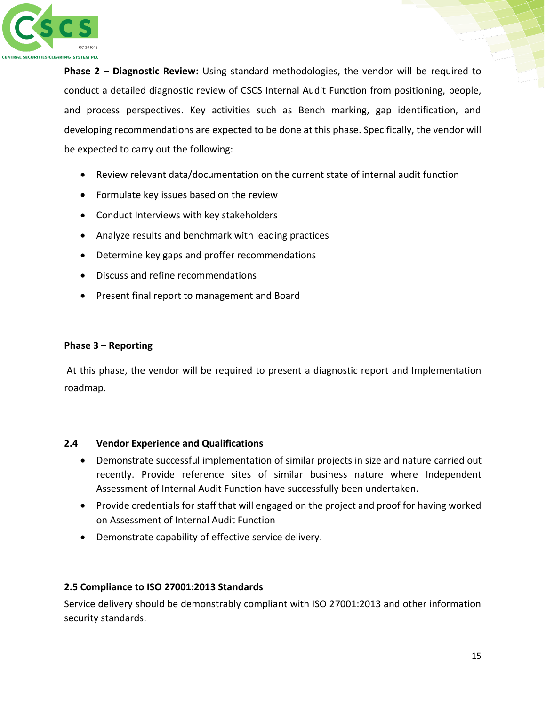

**Phase 2 – Diagnostic Review:** Using standard methodologies, the vendor will be required to conduct a detailed diagnostic review of CSCS Internal Audit Function from positioning, people, and process perspectives. Key activities such as Bench marking, gap identification, and developing recommendations are expected to be done at this phase. Specifically, the vendor will be expected to carry out the following:

- Review relevant data/documentation on the current state of internal audit function
- Formulate key issues based on the review
- Conduct Interviews with key stakeholders
- Analyze results and benchmark with leading practices
- Determine key gaps and proffer recommendations
- Discuss and refine recommendations
- Present final report to management and Board

#### **Phase 3 – Reporting**

At this phase, the vendor will be required to present a diagnostic report and Implementation roadmap.

#### **2.4 Vendor Experience and Qualifications**

- Demonstrate successful implementation of similar projects in size and nature carried out recently. Provide reference sites of similar business nature where Independent Assessment of Internal Audit Function have successfully been undertaken.
- Provide credentials for staff that will engaged on the project and proof for having worked on Assessment of Internal Audit Function
- Demonstrate capability of effective service delivery.

### **2.5 Compliance to ISO 27001:2013 Standards**

Service delivery should be demonstrably compliant with ISO 27001:2013 and other information security standards.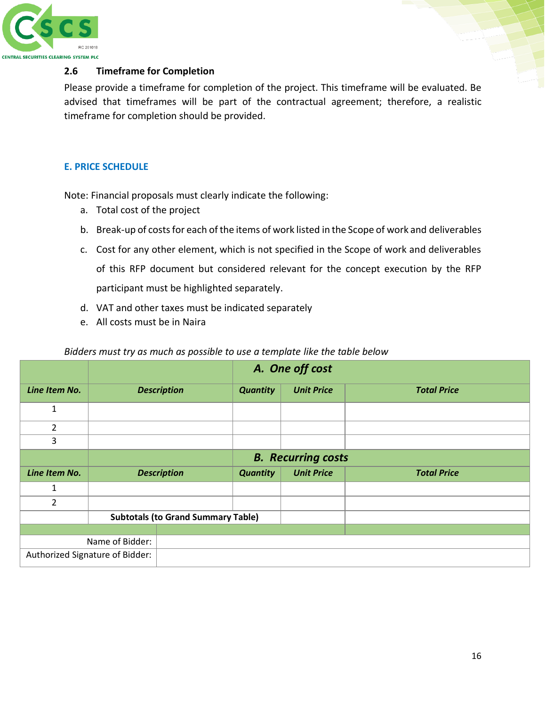

#### **2.6 Timeframe for Completion**

Please provide a timeframe for completion of the project. This timeframe will be evaluated. Be advised that timeframes will be part of the contractual agreement; therefore, a realistic timeframe for completion should be provided.

#### **E. PRICE SCHEDULE**

Note: Financial proposals must clearly indicate the following:

- a. Total cost of the project
- b. Break-up of costs for each of the items of work listed in the Scope of work and deliverables
- c. Cost for any other element, which is not specified in the Scope of work and deliverables of this RFP document but considered relevant for the concept execution by the RFP participant must be highlighted separately.
- d. VAT and other taxes must be indicated separately
- e. All costs must be in Naira

#### *Bidders must try as much as possible to use a template like the table below*

|                                           |                           | A. One off cost    |                 |                   |                    |
|-------------------------------------------|---------------------------|--------------------|-----------------|-------------------|--------------------|
| Line Item No.                             |                           | <b>Description</b> | <b>Quantity</b> | <b>Unit Price</b> | <b>Total Price</b> |
| 1                                         |                           |                    |                 |                   |                    |
| $\overline{2}$                            |                           |                    |                 |                   |                    |
| 3                                         |                           |                    |                 |                   |                    |
|                                           | <b>B.</b> Recurring costs |                    |                 |                   |                    |
| Line Item No.                             | <b>Description</b>        |                    | <b>Quantity</b> | <b>Unit Price</b> | <b>Total Price</b> |
| 1                                         |                           |                    |                 |                   |                    |
| $\overline{2}$                            |                           |                    |                 |                   |                    |
| <b>Subtotals (to Grand Summary Table)</b> |                           |                    |                 |                   |                    |
|                                           |                           |                    |                 |                   |                    |
|                                           | Name of Bidder:           |                    |                 |                   |                    |
| Authorized Signature of Bidder:           |                           |                    |                 |                   |                    |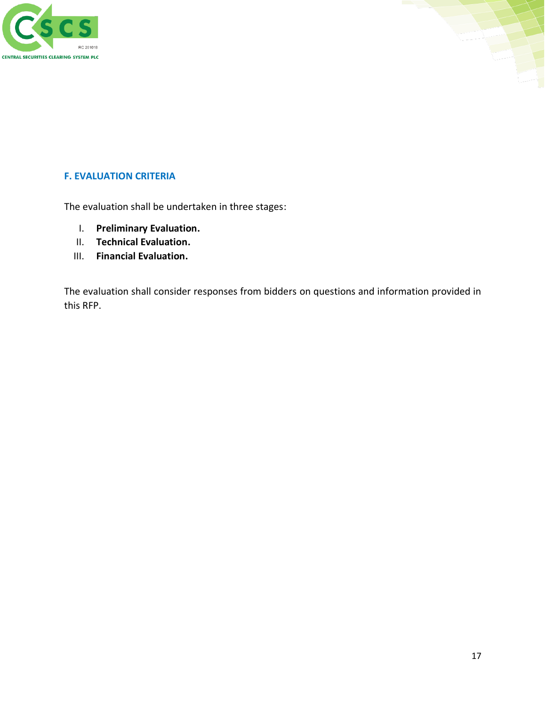



#### **F. EVALUATION CRITERIA**

The evaluation shall be undertaken in three stages:

- I. **Preliminary Evaluation.**
- II. **Technical Evaluation.**
- III. **Financial Evaluation.**

The evaluation shall consider responses from bidders on questions and information provided in this RFP.